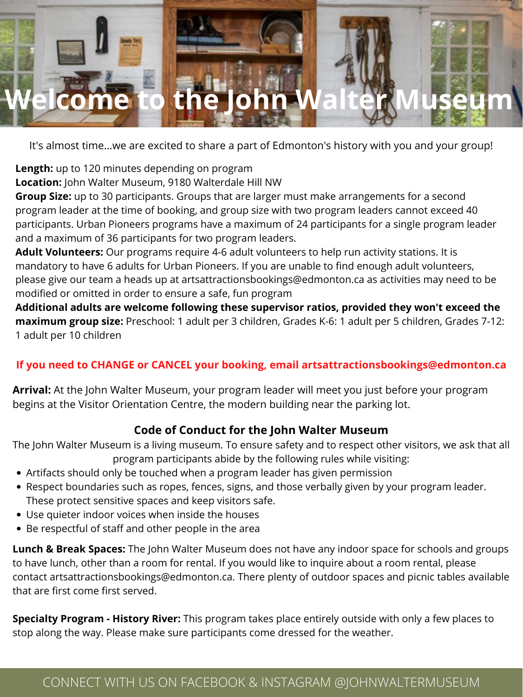## **Welcome to the John Walter Museum**

## CONNECT WITH US ON FACEBOOK & INSTAGRAM @JOHNWALTERMUSEUM

It's almost time...we are excited to share a part of Edmonton's history with you and your group!

**Length:** up to 120 minutes depending on program

**Location:** John Walter Museum, 9180 Walterdale Hill NW

**Group Size:** up to 30 participants. Groups that are larger must make arrangements for a second program leader at the time of booking, and group size with two program leaders cannot exceed 40 participants. Urban Pioneers programs have a maximum of 24 participants for a single program leader and a maximum of 36 participants for two program leaders.

**Adult Volunteers:** Our programs require 4-6 adult volunteers to help run activity stations. It is mandatory to have 6 adults for Urban Pioneers. If you are unable to find enough adult volunteers, please give our team a heads up at artsattractionsbookings@edmonton.ca as activities may need to be modified or omitted in order to ensure a safe, fun program

**Additional adults are welcome following these supervisor ratios, provided they won't exceed the maximum group size:** Preschool: 1 adult per 3 children, Grades K-6: 1 adult per 5 children, Grades 7-12: 1 adult per 10 children

#### **If you need to CHANGE or CANCEL your booking, email artsattractionsbookings@edmonton.ca**

**Arrival:** At the John Walter Museum, your program leader will meet you just before your program begins at the Visitor Orientation Centre, the modern building near the parking lot.

- Artifacts should only be touched when a program leader has given permission
- Respect boundaries such as ropes, fences, signs, and those verbally given by your program leader. These protect sensitive spaces and keep visitors safe.
- Use quieter indoor voices when inside the houses
- Be respectful of staff and other people in the area

### **Code of Conduct for the John Walter Museum**

The John Walter Museum is a living museum. To ensure safety and to respect other visitors, we ask that all program participants abide by the following rules while visiting:

**Lunch & Break Spaces:** The John Walter Museum does not have any indoor space for schools and groups to have lunch, other than a room for rental. If you would like to inquire about a room rental, please contact artsattractionsbookings@edmonton.ca. There plenty of outdoor spaces and picnic tables available that are first come first served.

**Specialty Program - History River:** This program takes place entirely outside with only a few places to stop along the way. Please make sure participants come dressed for the weather.